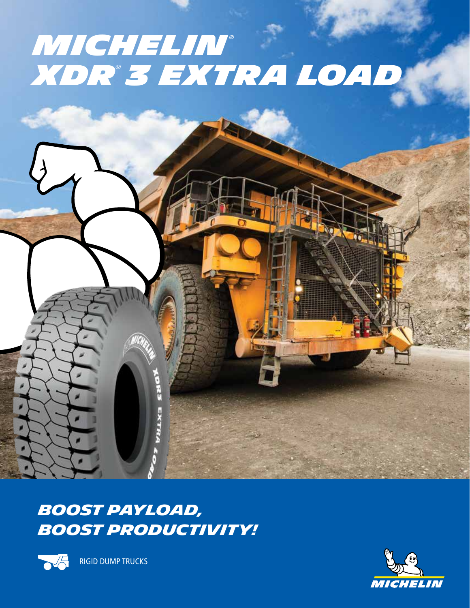## *Michelin® XDR® 3 Extra load*





RIGID DUMP TRUCKS